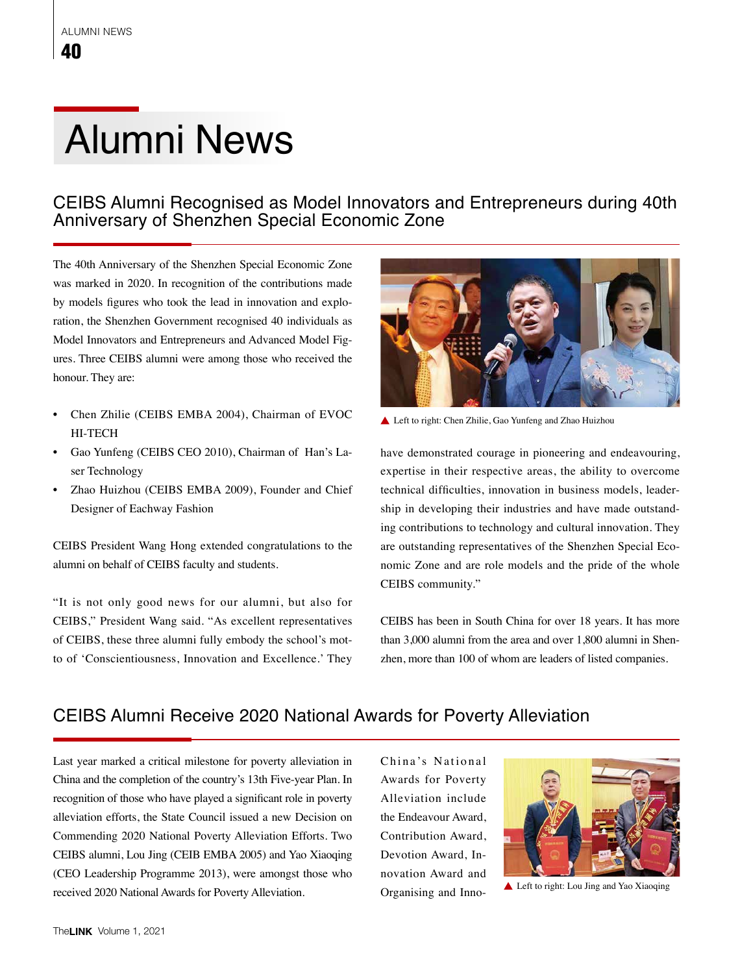# Alumni News

### CEIBS Alumni Recognised as Model Innovators and Entrepreneurs during 40th Anniversary of Shenzhen Special Economic Zone

The 40th Anniversary of the Shenzhen Special Economic Zone was marked in 2020. In recognition of the contributions made by models figures who took the lead in innovation and exploration, the Shenzhen Government recognised 40 individuals as Model Innovators and Entrepreneurs and Advanced Model Figures. Three CEIBS alumni were among those who received the honour. They are:

- Chen Zhilie (CEIBS EMBA 2004), Chairman of EVOC HI-TECH
- Gao Yunfeng (CEIBS CEO 2010), Chairman of Han's Laser Technology
- Zhao Huizhou (CEIBS EMBA 2009), Founder and Chief Designer of Eachway Fashion

CEIBS President Wang Hong extended congratulations to the alumni on behalf of CEIBS faculty and students.

"It is not only good news for our alumni, but also for CEIBS," President Wang said. "As excellent representatives of CEIBS, these three alumni fully embody the school's motto of 'Conscientiousness, Innovation and Excellence.' They



▲ Left to right: Chen Zhilie, Gao Yunfeng and Zhao Huizhou

have demonstrated courage in pioneering and endeavouring, expertise in their respective areas, the ability to overcome technical difficulties, innovation in business models, leadership in developing their industries and have made outstanding contributions to technology and cultural innovation. They are outstanding representatives of the Shenzhen Special Economic Zone and are role models and the pride of the whole CEIBS community."

CEIBS has been in South China for over 18 years. It has more than 3,000 alumni from the area and over 1,800 alumni in Shenzhen, more than 100 of whom are leaders of listed companies.

### CEIBS Alumni Receive 2020 National Awards for Poverty Alleviation

Last year marked a critical milestone for poverty alleviation in China and the completion of the country's 13th Five-year Plan. In recognition of those who have played a significant role in poverty alleviation efforts, the State Council issued a new Decision on Commending 2020 National Poverty Alleviation Efforts. Two CEIBS alumni, Lou Jing (CEIB EMBA 2005) and Yao Xiaoqing (CEO Leadership Programme 2013), were amongst those who received 2020 National Awards for Poverty Alleviation.

China's National Awards for Poverty Alleviation include the Endeavour Award, Contribution Award, Devotion Award, Innovation Award and Organising and Inno-



**▲ Left to right: Lou Jing and Yao Xiaoqing**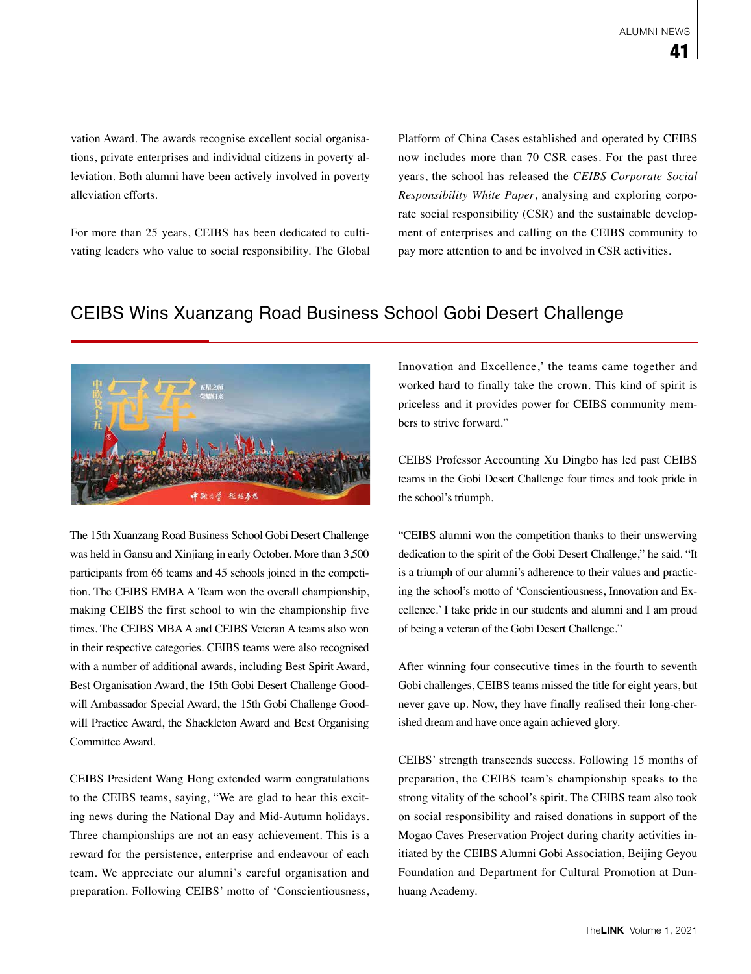vation Award. The awards recognise excellent social organisations, private enterprises and individual citizens in poverty alleviation. Both alumni have been actively involved in poverty alleviation efforts.

For more than 25 years, CEIBS has been dedicated to cultivating leaders who value to social responsibility. The Global Platform of China Cases established and operated by CEIBS now includes more than 70 CSR cases. For the past three years, the school has released the *CEIBS Corporate Social Responsibility White Paper*, analysing and exploring corporate social responsibility (CSR) and the sustainable development of enterprises and calling on the CEIBS community to pay more attention to and be involved in CSR activities.

### CEIBS Wins Xuanzang Road Business School Gobi Desert Challenge



The 15th Xuanzang Road Business School Gobi Desert Challenge was held in Gansu and Xinjiang in early October. More than 3,500 participants from 66 teams and 45 schools joined in the competition. The CEIBS EMBA A Team won the overall championship, making CEIBS the first school to win the championship five times. The CEIBS MBA A and CEIBS Veteran A teams also won in their respective categories. CEIBS teams were also recognised with a number of additional awards, including Best Spirit Award, Best Organisation Award, the 15th Gobi Desert Challenge Goodwill Ambassador Special Award, the 15th Gobi Challenge Goodwill Practice Award, the Shackleton Award and Best Organising Committee Award.

CEIBS President Wang Hong extended warm congratulations to the CEIBS teams, saying, "We are glad to hear this exciting news during the National Day and Mid-Autumn holidays. Three championships are not an easy achievement. This is a reward for the persistence, enterprise and endeavour of each team. We appreciate our alumni's careful organisation and preparation. Following CEIBS' motto of 'Conscientiousness, Innovation and Excellence,' the teams came together and worked hard to finally take the crown. This kind of spirit is priceless and it provides power for CEIBS community members to strive forward."

CEIBS Professor Accounting Xu Dingbo has led past CEIBS teams in the Gobi Desert Challenge four times and took pride in the school's triumph.

"CEIBS alumni won the competition thanks to their unswerving dedication to the spirit of the Gobi Desert Challenge," he said. "It is a triumph of our alumni's adherence to their values and practicing the school's motto of 'Conscientiousness, Innovation and Excellence.' I take pride in our students and alumni and I am proud of being a veteran of the Gobi Desert Challenge."

After winning four consecutive times in the fourth to seventh Gobi challenges, CEIBS teams missed the title for eight years, but never gave up. Now, they have finally realised their long-cherished dream and have once again achieved glory.

CEIBS' strength transcends success. Following 15 months of preparation, the CEIBS team's championship speaks to the strong vitality of the school's spirit. The CEIBS team also took on social responsibility and raised donations in support of the Mogao Caves Preservation Project during charity activities initiated by the CEIBS Alumni Gobi Association, Beijing Geyou Foundation and Department for Cultural Promotion at Dunhuang Academy.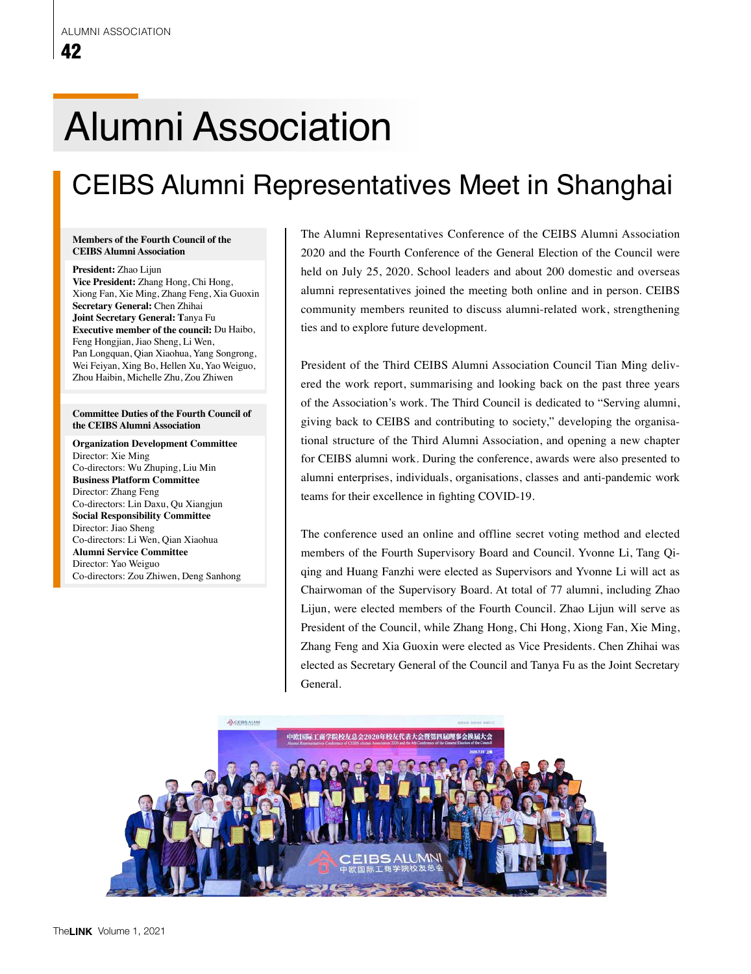# Alumni Association

## CEIBS Alumni Representatives Meet in Shanghai

#### **Members of the Fourth Council of the CEIBS Alumni Association**

**President:** Zhao Lijun **Vice President:** Zhang Hong, Chi Hong, Xiong Fan, Xie Ming, Zhang Feng, Xia Guoxin **Secretary General:** Chen Zhihai **Joint Secretary General: T**anya Fu **Executive member of the council:** Du Haibo, Feng Hongjian, Jiao Sheng, Li Wen, Pan Longquan, Qian Xiaohua, Yang Songrong, Wei Feiyan, Xing Bo, Hellen Xu, Yao Weiguo, Zhou Haibin, Michelle Zhu, Zou Zhiwen

#### **Committee Duties of the Fourth Council of the CEIBS Alumni Association**

**Organization Development Committee** Director: Xie Ming Co-directors: Wu Zhuping, Liu Min **Business Platform Committee** Director: Zhang Feng Co-directors: Lin Daxu, Qu Xiangjun **Social Responsibility Committee** Director: Jiao Sheng Co-directors: Li Wen, Qian Xiaohua **Alumni Service Committee** Director: Yao Weiguo Co-directors: Zou Zhiwen, Deng Sanhong The Alumni Representatives Conference of the CEIBS Alumni Association 2020 and the Fourth Conference of the General Election of the Council were held on July 25, 2020. School leaders and about 200 domestic and overseas alumni representatives joined the meeting both online and in person. CEIBS community members reunited to discuss alumni-related work, strengthening ties and to explore future development.

President of the Third CEIBS Alumni Association Council Tian Ming delivered the work report, summarising and looking back on the past three years of the Association's work. The Third Council is dedicated to "Serving alumni, giving back to CEIBS and contributing to society," developing the organisational structure of the Third Alumni Association, and opening a new chapter for CEIBS alumni work. During the conference, awards were also presented to alumni enterprises, individuals, organisations, classes and anti-pandemic work teams for their excellence in fighting COVID-19.

The conference used an online and offline secret voting method and elected members of the Fourth Supervisory Board and Council. Yvonne Li, Tang Qiqing and Huang Fanzhi were elected as Supervisors and Yvonne Li will act as Chairwoman of the Supervisory Board. At total of 77 alumni, including Zhao Lijun, were elected members of the Fourth Council. Zhao Lijun will serve as President of the Council, while Zhang Hong, Chi Hong, Xiong Fan, Xie Ming, Zhang Feng and Xia Guoxin were elected as Vice Presidents. Chen Zhihai was elected as Secretary General of the Council and Tanya Fu as the Joint Secretary General.

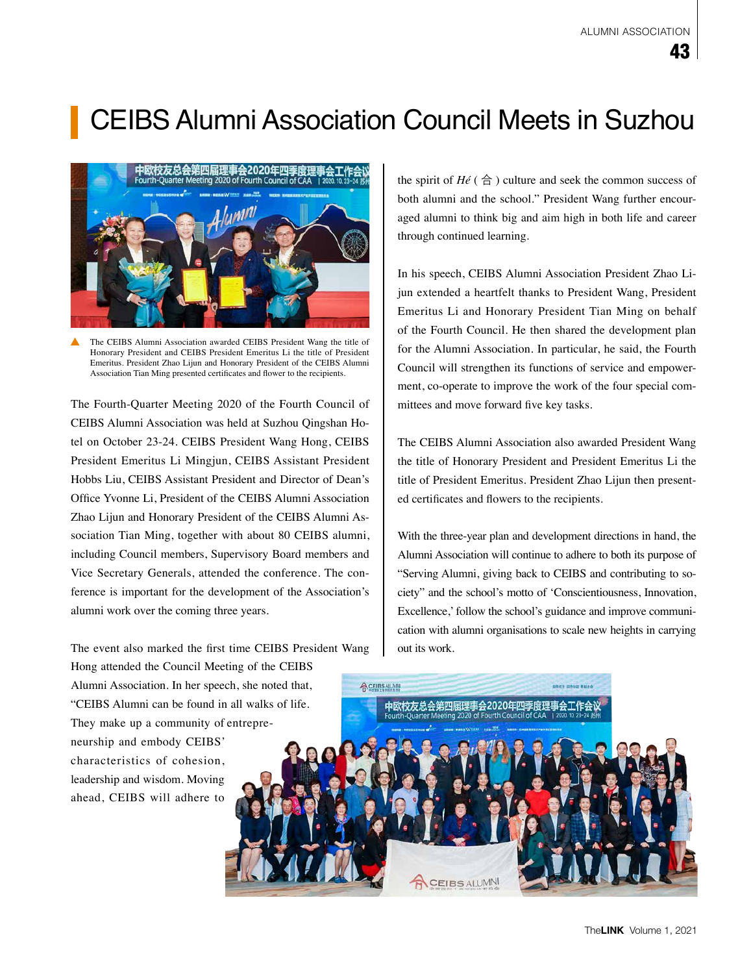## CEIBS Alumni Association Council Meets in Suzhou



The CEIBS Alumni Association awarded CEIBS President Wang the title of Honorary President and CEIBS President Emeritus Li the title of President Emeritus. President Zhao Lijun and Honorary President of the CEIBS Alumni Association Tian Ming presented certificates and flower to the recipients.

The Fourth-Quarter Meeting 2020 of the Fourth Council of CEIBS Alumni Association was held at Suzhou Qingshan Hotel on October 23-24. CEIBS President Wang Hong, CEIBS President Emeritus Li Mingjun, CEIBS Assistant President Hobbs Liu, CEIBS Assistant President and Director of Dean's Office Yvonne Li, President of the CEIBS Alumni Association Zhao Lijun and Honorary President of the CEIBS Alumni Association Tian Ming, together with about 80 CEIBS alumni, including Council members, Supervisory Board members and Vice Secretary Generals, attended the conference. The conference is important for the development of the Association's alumni work over the coming three years.

The event also marked the first time CEIBS President Wang Hong attended the Council Meeting of the CEIBS Alumni Association. In her speech, she noted that, "CEIBS Alumni can be found in all walks of life. They make up a community of entrepreneurship and embody CEIBS' characteristics of cohesion, leadership and wisdom. Moving ahead, CEIBS will adhere to

the spirit of  $H\notin$  ( $\triangle$ ) culture and seek the common success of both alumni and the school." President Wang further encouraged alumni to think big and aim high in both life and career through continued learning.

In his speech, CEIBS Alumni Association President Zhao Lijun extended a heartfelt thanks to President Wang, President Emeritus Li and Honorary President Tian Ming on behalf of the Fourth Council. He then shared the development plan for the Alumni Association. In particular, he said, the Fourth Council will strengthen its functions of service and empowerment, co-operate to improve the work of the four special committees and move forward five key tasks.

The CEIBS Alumni Association also awarded President Wang the title of Honorary President and President Emeritus Li the title of President Emeritus. President Zhao Lijun then presented certificates and flowers to the recipients.

With the three-year plan and development directions in hand, the Alumni Association will continue to adhere to both its purpose of "Serving Alumni, giving back to CEIBS and contributing to society" and the school's motto of 'Conscientiousness, Innovation, Excellence,' follow the school's guidance and improve communication with alumni organisations to scale new heights in carrying out its work.